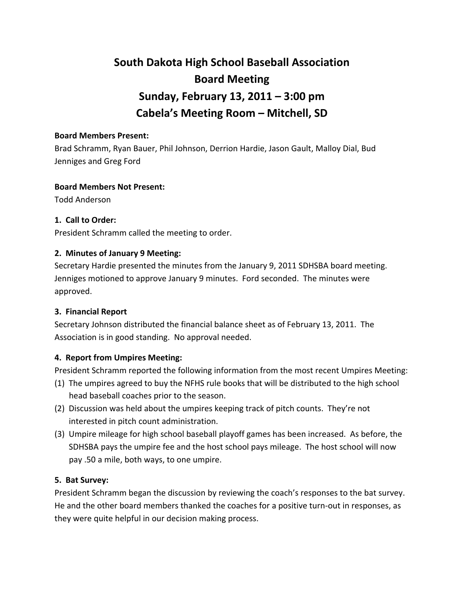# **South Dakota High School Baseball Association Board Meeting Sunday, February 13, 2011 – 3:00 pm Cabela's Meeting Room – Mitchell, SD**

## **Board Members Present:**

Brad Schramm, Ryan Bauer, Phil Johnson, Derrion Hardie, Jason Gault, Malloy Dial, Bud Jenniges and Greg Ford

## **Board Members Not Present:**

Todd Anderson

# **1. Call to Order:**

President Schramm called the meeting to order.

## **2. Minutes of January 9 Meeting:**

Secretary Hardie presented the minutes from the January 9, 2011 SDHSBA board meeting. Jenniges motioned to approve January 9 minutes. Ford seconded. The minutes were approved.

# **3. Financial Report**

Secretary Johnson distributed the financial balance sheet as of February 13, 2011. The Association is in good standing. No approval needed.

# **4. Report from Umpires Meeting:**

President Schramm reported the following information from the most recent Umpires Meeting:

- (1) The umpires agreed to buy the NFHS rule books that will be distributed to the high school head baseball coaches prior to the season.
- (2) Discussion was held about the umpires keeping track of pitch counts. They're not interested in pitch count administration.
- (3) Umpire mileage for high school baseball playoff games has been increased. As before, the SDHSBA pays the umpire fee and the host school pays mileage. The host school will now pay .50 a mile, both ways, to one umpire.

# **5. Bat Survey:**

President Schramm began the discussion by reviewing the coach's responses to the bat survey. He and the other board members thanked the coaches for a positive turn‐out in responses, as they were quite helpful in our decision making process.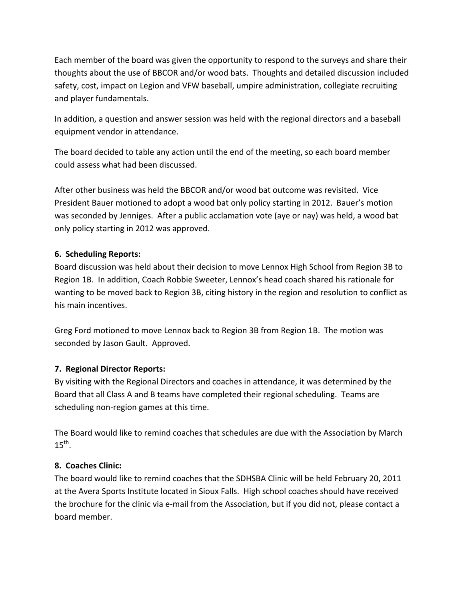Each member of the board was given the opportunity to respond to the surveys and share their thoughts about the use of BBCOR and/or wood bats. Thoughts and detailed discussion included safety, cost, impact on Legion and VFW baseball, umpire administration, collegiate recruiting and player fundamentals.

In addition, a question and answer session was held with the regional directors and a baseball equipment vendor in attendance.

The board decided to table any action until the end of the meeting, so each board member could assess what had been discussed.

After other business was held the BBCOR and/or wood bat outcome was revisited. Vice President Bauer motioned to adopt a wood bat only policy starting in 2012. Bauer's motion was seconded by Jenniges. After a public acclamation vote (aye or nay) was held, a wood bat only policy starting in 2012 was approved.

# **6. Scheduling Reports:**

Board discussion was held about their decision to move Lennox High School from Region 3B to Region 1B. In addition, Coach Robbie Sweeter, Lennox's head coach shared his rationale for wanting to be moved back to Region 3B, citing history in the region and resolution to conflict as his main incentives.

Greg Ford motioned to move Lennox back to Region 3B from Region 1B. The motion was seconded by Jason Gault. Approved.

# **7. Regional Director Reports:**

By visiting with the Regional Directors and coaches in attendance, it was determined by the Board that all Class A and B teams have completed their regional scheduling. Teams are scheduling non‐region games at this time.

The Board would like to remind coaches that schedules are due with the Association by March  $15^{th}$ .

# **8. Coaches Clinic:**

The board would like to remind coaches that the SDHSBA Clinic will be held February 20, 2011 at the Avera Sports Institute located in Sioux Falls. High school coaches should have received the brochure for the clinic via e-mail from the Association, but if you did not, please contact a board member.